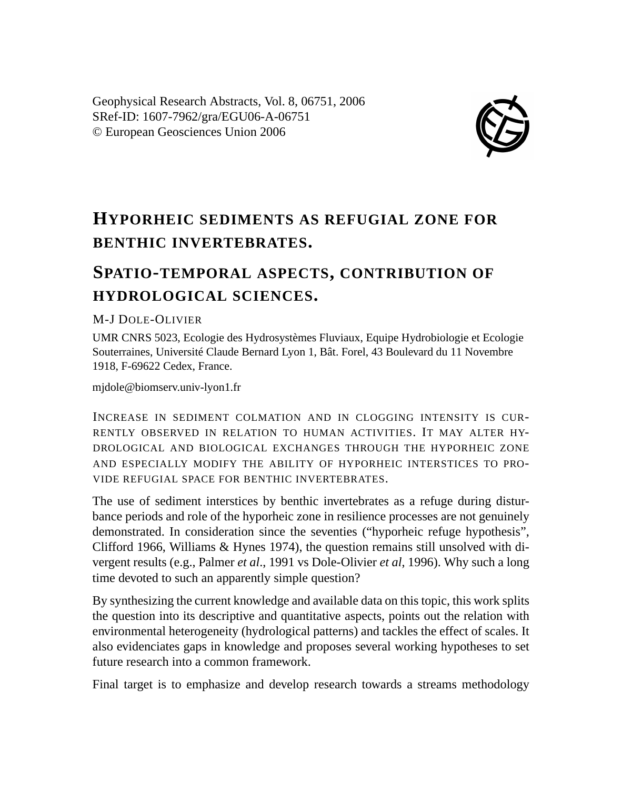Geophysical Research Abstracts, Vol. 8, 06751, 2006 SRef-ID: 1607-7962/gra/EGU06-A-06751 © European Geosciences Union 2006



## **HYPORHEIC SEDIMENTS AS REFUGIAL ZONE FOR BENTHIC INVERTEBRATES.**

## **SPATIO-TEMPORAL ASPECTS, CONTRIBUTION OF HYDROLOGICAL SCIENCES.**

## M-J DOLE-OLIVIER

UMR CNRS 5023, Ecologie des Hydrosystèmes Fluviaux, Equipe Hydrobiologie et Ecologie Souterraines, Université Claude Bernard Lyon 1, Bât. Forel, 43 Boulevard du 11 Novembre 1918, F-69622 Cedex, France.

mjdole@biomserv.univ-lyon1.fr

INCREASE IN SEDIMENT COLMATION AND IN CLOGGING INTENSITY IS CUR-RENTLY OBSERVED IN RELATION TO HUMAN ACTIVITIES. IT MAY ALTER HY-DROLOGICAL AND BIOLOGICAL EXCHANGES THROUGH THE HYPORHEIC ZONE AND ESPECIALLY MODIFY THE ABILITY OF HYPORHEIC INTERSTICES TO PRO-VIDE REFUGIAL SPACE FOR BENTHIC INVERTEBRATES.

The use of sediment interstices by benthic invertebrates as a refuge during disturbance periods and role of the hyporheic zone in resilience processes are not genuinely demonstrated. In consideration since the seventies ("hyporheic refuge hypothesis", Clifford 1966, Williams & Hynes 1974), the question remains still unsolved with divergent results (e.g., Palmer *et al*., 1991 vs Dole-Olivier *et al*, 1996). Why such a long time devoted to such an apparently simple question?

By synthesizing the current knowledge and available data on this topic, this work splits the question into its descriptive and quantitative aspects, points out the relation with environmental heterogeneity (hydrological patterns) and tackles the effect of scales. It also evidenciates gaps in knowledge and proposes several working hypotheses to set future research into a common framework.

Final target is to emphasize and develop research towards a streams methodology